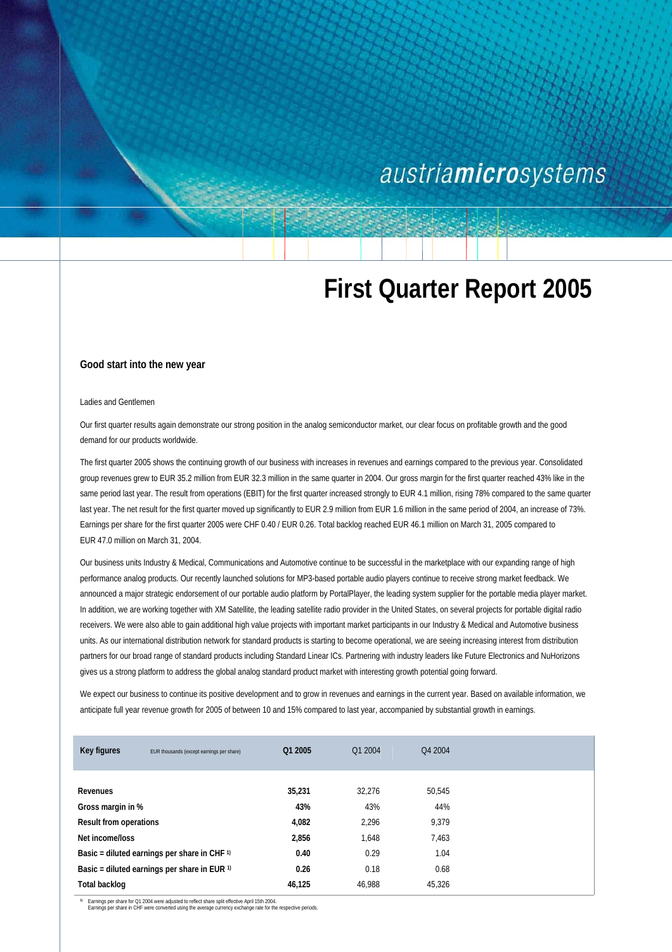## austriamicrosystems

# **First Quarter Report 2005**

#### **Good start into the new year**

#### Ladies and Gentlemen

Our first quarter results again demonstrate our strong position in the analog semiconductor market, our clear focus on profitable growth and the good demand for our products worldwide.

The first quarter 2005 shows the continuing growth of our business with increases in revenues and earnings compared to the previous year. Consolidated group revenues grew to EUR 35.2 million from EUR 32.3 million in the same quarter in 2004. Our gross margin for the first quarter reached 43% like in the same period last year. The result from operations (EBIT) for the first quarter increased strongly to EUR 4.1 million, rising 78% compared to the same quarter last year. The net result for the first quarter moved up significantly to EUR 2.9 million from EUR 1.6 million in the same period of 2004, an increase of 73%. Earnings per share for the first quarter 2005 were CHF 0.40 / EUR 0.26. Total backlog reached EUR 46.1 million on March 31, 2005 compared to EUR 47.0 million on March 31, 2004.

Our business units Industry & Medical, Communications and Automotive continue to be successful in the marketplace with our expanding range of high performance analog products. Our recently launched solutions for MP3-based portable audio players continue to receive strong market feedback. We announced a major strategic endorsement of our portable audio platform by PortalPlayer, the leading system supplier for the portable media player market. In addition, we are working together with XM Satellite, the leading satellite radio provider in the United States, on several projects for portable digital radio receivers. We were also able to gain additional high value projects with important market participants in our Industry & Medical and Automotive business units. As our international distribution network for standard products is starting to become operational, we are seeing increasing interest from distribution partners for our broad range of standard products including Standard Linear ICs. Partnering with industry leaders like Future Electronics and NuHorizons gives us a strong platform to address the global analog standard product market with interesting growth potential going forward.

We expect our business to continue its positive development and to grow in revenues and earnings in the current year. Based on available information, we anticipate full year revenue growth for 2005 of between 10 and 15% compared to last year, accompanied by substantial growth in earnings.

| Key figures                                        | EUR thousands (except earnings per share) | Q1 2005 | Q1 2004 | Q4 2004 |  |
|----------------------------------------------------|-------------------------------------------|---------|---------|---------|--|
|                                                    |                                           |         |         |         |  |
| Revenues                                           |                                           | 35,231  | 32.276  | 50.545  |  |
| Gross margin in %                                  |                                           | 43%     | 43%     | 44%     |  |
| <b>Result from operations</b>                      |                                           | 4,082   | 2.296   | 9,379   |  |
| Net income/loss                                    |                                           | 2,856   | 1,648   | 7,463   |  |
| Basic = diluted earnings per share in CHF 1)       |                                           | 0.40    | 0.29    | 1.04    |  |
| Basic = diluted earnings per share in EUR $\theta$ |                                           | 0.26    | 0.18    | 0.68    |  |
| Total backlog                                      |                                           | 46,125  | 46.988  | 45,326  |  |

<sup>1</sup> Earnings per share for Q1 2004 were adjusted to reflect share split effective April 15th 2004.<br>Earnings per share in CHF were converted using the average currency exchange rate for the respective periods.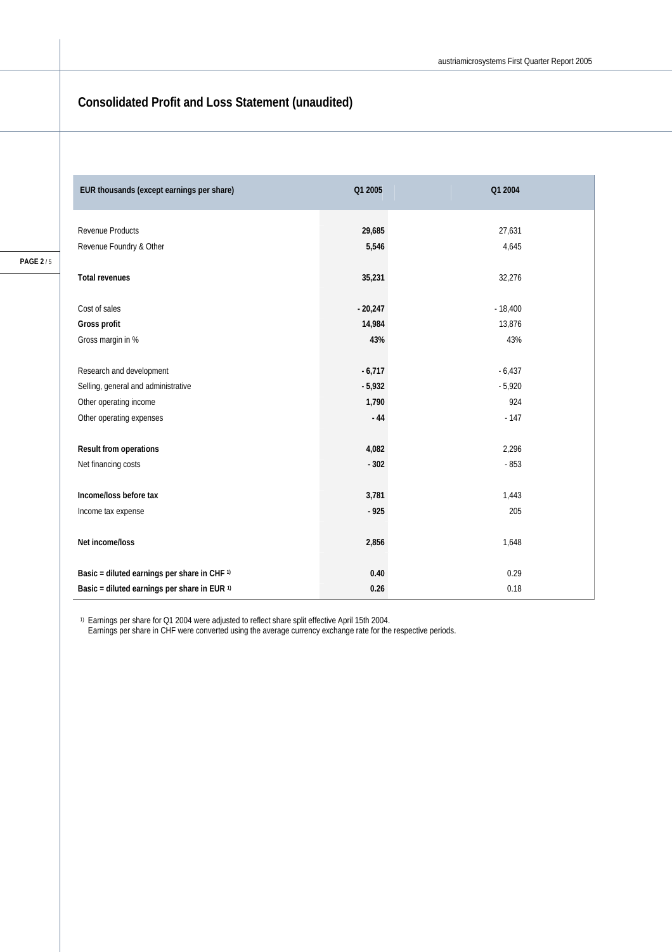### **Consolidated Profit and Loss Statement (unaudited)**

1) Earnings per share for Q1 2004 were adjusted to reflect share split effective April 15th 2004.

Earnings per share in CHF were converted using the average currency exchange rate for the respective periods.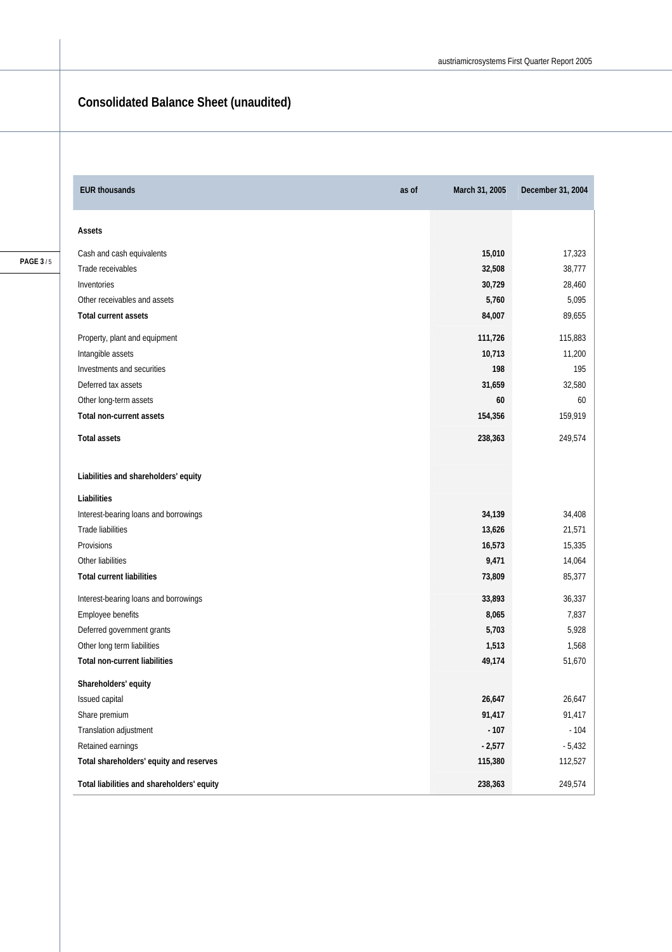### **Consolidated Balance Sheet (unaudited)**

| <b>EUR thousands</b>                       | as of | March 31, 2005 | December 31, 2004 |
|--------------------------------------------|-------|----------------|-------------------|
| Assets                                     |       |                |                   |
| Cash and cash equivalents                  |       | 15,010         | 17,323            |
| Trade receivables                          |       | 32,508         | 38,777            |
| Inventories                                |       | 30,729         | 28,460            |
| Other receivables and assets               |       | 5,760          | 5,095             |
| Total current assets                       |       | 84,007         | 89,655            |
| Property, plant and equipment              |       | 111,726        | 115,883           |
| Intangible assets                          |       | 10,713         | 11,200            |
| Investments and securities                 |       | 198            | 195               |
| Deferred tax assets                        |       | 31,659         | 32,580            |
| Other long-term assets                     |       | 60             | 60                |
| <b>Total non-current assets</b>            |       | 154,356        | 159,919           |
| <b>Total assets</b>                        |       | 238,363        | 249,574           |
| Liabilities and shareholders' equity       |       |                |                   |
| Liabilities                                |       |                |                   |
| Interest-bearing loans and borrowings      |       | 34,139         | 34,408            |
| Trade liabilities                          |       | 13,626         | 21,571            |
| Provisions                                 |       | 16,573         | 15,335            |
| Other liabilities                          |       | 9,471          | 14,064            |
| <b>Total current liabilities</b>           |       | 73,809         | 85,377            |
| Interest-bearing loans and borrowings      |       | 33,893         | 36,337            |
| Employee benefits                          |       | 8,065          | 7,837             |
| Deferred government grants                 |       | 5,703          | 5,928             |
| Other long term liabilities                |       | 1,513          | 1,568             |
| <b>Total non-current liabilities</b>       |       | 49,174         | 51,670            |
| Shareholders' equity                       |       |                |                   |
| Issued capital                             |       | 26,647         | 26,647            |
| Share premium                              |       | 91,417         | 91,417            |
| Translation adjustment                     |       | $-107$         | $-104$            |
| Retained earnings                          |       | $-2,577$       | $-5,432$          |
| Total shareholders' equity and reserves    |       | 115,380        | 112,527           |
| Total liabilities and shareholders' equity |       | 238,363        | 249,574           |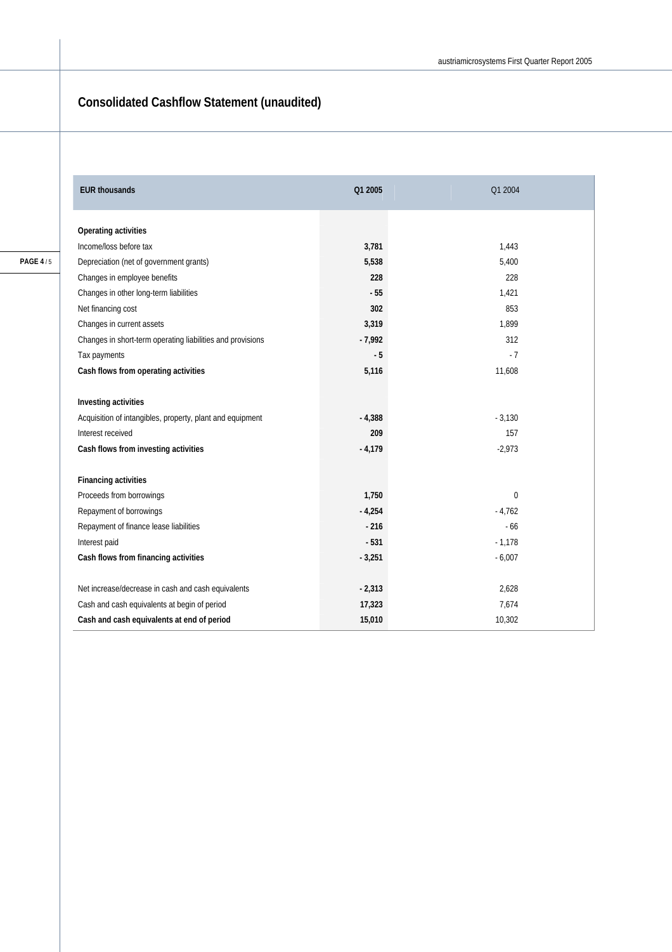### **Consolidated Cashflow Statement (unaudited)**

| <b>EUR thousands</b>                                       | Q1 2005  | Q1 2004        |
|------------------------------------------------------------|----------|----------------|
| Operating activities                                       |          |                |
| Income/loss before tax                                     | 3,781    | 1,443          |
| Depreciation (net of government grants)                    | 5,538    | 5,400          |
| Changes in employee benefits                               | 228      | 228            |
| Changes in other long-term liabilities                     | $-55$    | 1,421          |
| Net financing cost                                         | 302      | 853            |
| Changes in current assets                                  | 3,319    | 1,899          |
| Changes in short-term operating liabilities and provisions | $-7,992$ | 312            |
| Tax payments                                               | $-5$     | $-7$           |
| Cash flows from operating activities                       | 5,116    | 11,608         |
| Investing activities                                       |          |                |
| Acquisition of intangibles, property, plant and equipment  | $-4,388$ | $-3,130$       |
| Interest received                                          | 209      | 157            |
| Cash flows from investing activities                       | $-4,179$ | $-2,973$       |
| <b>Financing activities</b>                                |          |                |
| Proceeds from borrowings                                   | 1,750    | $\overline{0}$ |
| Repayment of borrowings                                    | $-4,254$ | $-4,762$       |
| Repayment of finance lease liabilities                     | $-216$   | $-66$          |
| Interest paid                                              | $-531$   | $-1,178$       |
| Cash flows from financing activities                       | $-3,251$ | $-6,007$       |
| Net increase/decrease in cash and cash equivalents         | $-2,313$ | 2,628          |
| Cash and cash equivalents at begin of period               | 17,323   | 7,674          |
| Cash and cash equivalents at end of period                 | 15,010   | 10,302         |